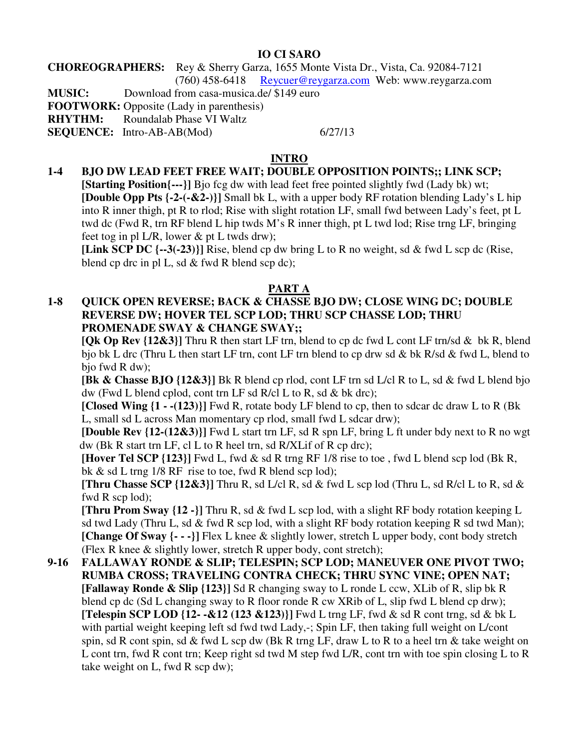#### **IO CI SARO**

#### **CHOREOGRAPHERS:** Rey & Sherry Garza, 1655 Monte Vista Dr., Vista, Ca. 92084-7121 (760) 458-6418 Reycuer@reygarza.com Web: www.reygarza.com

**MUSIC:** Download from casa-musica.de/ \$149 euro

**FOOTWORK:** Opposite (Lady in parenthesis)

**RHYTHM:** Roundalab Phase VI Waltz

**SEQUENCE:** Intro-AB-AB(Mod) 6/27/13

# **INTRO**

**1-4 BJO DW LEAD FEET FREE WAIT; DOUBLE OPPOSITION POINTS;; LINK SCP; [Starting Position{---}]** Bjo fcg dw with lead feet free pointed slightly fwd (Lady bk) wt; **[Double Opp Pts {-2-(-&2-)}]** Small bk L, with a upper body RF rotation blending Lady's L hip into R inner thigh, pt R to rlod; Rise with slight rotation LF, small fwd between Lady's feet, pt L twd dc (Fwd R, trn RF blend L hip twds M's R inner thigh, pt L twd lod; Rise trng LF, bringing feet tog in pl L/R, lower & pt L twds drw);

**[Link SCP DC {--3(-23)}]** Rise, blend cp dw bring L to R no weight, sd & fwd L scp dc (Rise, blend cp drc in pl L, sd & fwd R blend scp dc);

## **PART A**

### **1-8 QUICK OPEN REVERSE; BACK & CHASSE BJO DW; CLOSE WING DC; DOUBLE REVERSE DW; HOVER TEL SCP LOD; THRU SCP CHASSE LOD; THRU PROMENADE SWAY & CHANGE SWAY;;**

**[Qk Op Rev {12&3}]** Thru R then start LF trn, blend to cp dc fwd L cont LF trn/sd & bk R, blend bjo bk L drc (Thru L then start LF trn, cont LF trn blend to cp drw sd & bk R/sd & fwd L, blend to bjo fwd R dw);

**[Bk & Chasse BJO {12&3}]** Bk R blend cp rlod, cont LF trn sd L/cl R to L, sd & fwd L blend bjo dw (Fwd L blend cplod, cont trn LF sd R/cl L to R, sd & bk drc);

**[Closed Wing {1 - -(123)}]** Fwd R, rotate body LF blend to cp, then to sdcar dc draw L to R (Bk L, small sd L across Man momentary cp rlod, small fwd L sdcar drw);

**[Double Rev {12-(12&3)}]** Fwd L start trn LF, sd R spn LF, bring L ft under bdy next to R no wgt dw (Bk R start trn LF, cl L to R heel trn, sd R/XLif of R cp drc);

 **[Hover Tel SCP {123}]** Fwd L, fwd & sd R trng RF 1/8 rise to toe , fwd L blend scp lod (Bk R, bk & sd L trng 1/8 RF rise to toe, fwd R blend scp lod);

**[Thru Chasse SCP {12&3}]** Thru R, sd L/cl R, sd & fwd L scp lod (Thru L, sd R/cl L to R, sd & fwd R scp lod);

**[Thru Prom Sway {12 -}]** Thru R, sd & fwd L scp lod, with a slight RF body rotation keeping L sd twd Lady (Thru L, sd  $\&$  fwd R scp lod, with a slight RF body rotation keeping R sd twd Man); **[Change Of Sway {- - -}]** Flex L knee & slightly lower, stretch L upper body, cont body stretch (Flex R knee & slightly lower, stretch R upper body, cont stretch);

**9-16 FALLAWAY RONDE & SLIP; TELESPIN; SCP LOD; MANEUVER ONE PIVOT TWO; RUMBA CROSS; TRAVELING CONTRA CHECK; THRU SYNC VINE; OPEN NAT; [Fallaway Ronde & Slip {123}]** Sd R changing sway to L ronde L ccw, XLib of R, slip bk R blend cp dc (Sd L changing sway to R floor ronde R cw XRib of L, slip fwd L blend cp drw); **[Telespin SCP LOD {12- -&12 (123 &123)}]** Fwd L trng LF, fwd & sd R cont trng, sd & bk L with partial weight keeping left sd fwd twd Lady,-; Spin LF, then taking full weight on L/cont spin, sd R cont spin, sd & fwd L scp dw (Bk R trng LF, draw L to R to a heel trn & take weight on L cont trn, fwd R cont trn; Keep right sd twd M step fwd L/R, cont trn with toe spin closing L to R take weight on L, fwd R scp dw);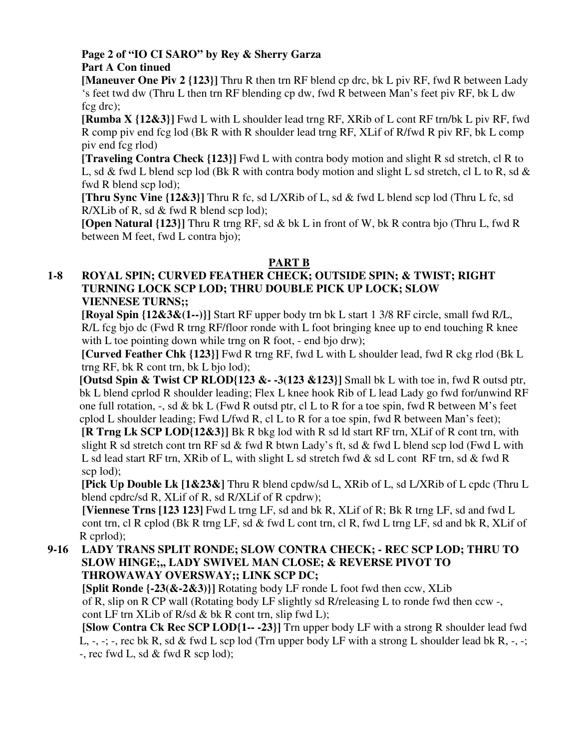## **Page 2 of "IO CI SARO" by Rey & Sherry Garza Part A Con tinued**

**[Maneuver One Piv 2 {123}]** Thru R then trn RF blend cp drc, bk L piv RF, fwd R between Lady 's feet twd dw (Thru L then trn RF blending cp dw, fwd R between Man's feet piv RF, bk L dw fcg drc);

**[Rumba X {12&3}]** Fwd L with L shoulder lead trng RF, XRib of L cont RF trn/bk L piv RF, fwd R comp piv end fcg lod (Bk R with R shoulder lead trng RF, XLif of R/fwd R piv RF, bk L comp piv end fcg rlod)

**[Traveling Contra Check {123}]** Fwd L with contra body motion and slight R sd stretch, cl R to L, sd & fwd L blend scp lod (Bk R with contra body motion and slight L sd stretch, cl L to R, sd & fwd R blend scp lod);

**[Thru Sync Vine {12&3}]** Thru R fc, sd L/XRib of L, sd & fwd L blend scp lod (Thru L fc, sd R/XLib of R, sd & fwd R blend scp lod);

**[Open Natural {123}]** Thru R trng RF, sd & bk L in front of W, bk R contra bjo (Thru L, fwd R between M feet, fwd L contra bjo);

## **PART B**

#### **1-8 ROYAL SPIN; CURVED FEATHER CHECK; OUTSIDE SPIN; & TWIST; RIGHT TURNING LOCK SCP LOD; THRU DOUBLE PICK UP LOCK; SLOW VIENNESE TURNS;;**

**[Royal Spin {12&3&(1--)}]** Start RF upper body trn bk L start 1 3/8 RF circle, small fwd R/L, R/L fcg bjo dc (Fwd R trng RF/floor ronde with L foot bringing knee up to end touching R knee with L toe pointing down while trng on R foot, - end bio drw);

**[Curved Feather Chk {123}]** Fwd R trng RF, fwd L with L shoulder lead, fwd R ckg rlod (Bk L trng RF, bk R cont trn, bk L bjo lod);

**[Outsd Spin & Twist CP RLOD{123 &- -3(123 &123}]** Small bk L with toe in, fwd R outsd ptr, bk L blend cprlod R shoulder leading; Flex L knee hook Rib of L lead Lady go fwd for/unwind RF one full rotation,  $-$ , sd & bk L (Fwd R outsd ptr, cl L to R for a toe spin, fwd R between M's feet cplod L shoulder leading; Fwd L/fwd R, cl L to R for a toe spin, fwd R between Man's feet);

 **[R Trng Lk SCP LOD{12&3}]** Bk R bkg lod with R sd ld start RF trn, XLif of R cont trn, with slight R sd stretch cont trn RF sd & fwd R btwn Lady's ft, sd & fwd L blend scp lod (Fwd L with L sd lead start RF trn, XRib of L, with slight L sd stretch fwd  $\&$  sd L cont RF trn, sd  $\&$  fwd R scp lod);

**[Pick Up Double Lk [1&23&]** Thru R blend cpdw/sd L, XRib of L, sd L/XRib of L cpdc (Thru L blend cpdrc/sd R, XLif of R, sd R/XLif of R cpdrw);

 **[Viennese Trns [123 123]** Fwd L trng LF, sd and bk R, XLif of R; Bk R trng LF, sd and fwd L cont trn, cl R cplod (Bk R trng LF, sd & fwd L cont trn, cl R, fwd L trng LF, sd and bk R, XLif of R cprlod);

**9-16 LADY TRANS SPLIT RONDE; SLOW CONTRA CHECK; - REC SCP LOD; THRU TO SLOW HINGE;,, LADY SWIVEL MAN CLOSE; & REVERSE PIVOT TO THROWAWAY OVERSWAY;; LINK SCP DC;** 

 **[Split Ronde {-23(&-2&3)}]** Rotating body LF ronde L foot fwd then ccw, XLib of R, slip on R CP wall (Rotating body LF slightly sd R/releasing L to ronde fwd then ccw -, cont LF trn XLib of R/sd & bk R cont trn, slip fwd L);

 **[Slow Contra Ck Rec SCP LOD{1-- -23}]** Trn upper body LF with a strong R shoulder lead fwd L,  $-$ ,  $-$ ;  $-$ , rec bk R, sd & fwd L scp lod (Trn upper body LF with a strong L shoulder lead bk R,  $-$ ,  $-$ ; -, rec fwd L, sd & fwd R scp lod);